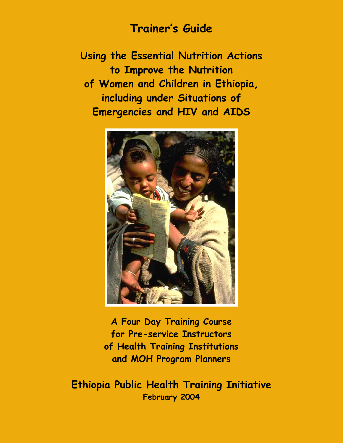# **Trainer's Guide**

**Using the Essential Nutrition Actions to Improve the Nutrition of Women and Children in Ethiopia, including under Situations of Emergencies and HIV and AIDS** 



**A Four Day Training Course for Pre-service Instructors of Health Training Institutions and MOH Program Planners** 

**Ethiopia Public Health Training Initiative February 2004**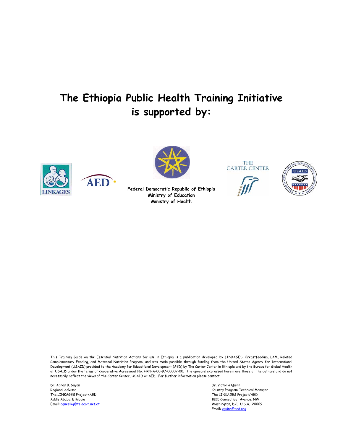# **The Ethiopia Public Health Training Initiative is supported by:**







**Federal Democratic Republic of Ethiopia Ministry of Education Ministry of Health** 

**THE CARTER CENTER** 





This Training Guide on the Essential Nutrition Actions for use in Ethiopia is a publication developed by LINKAGES: Breastfeeding, LAM, Related Complementary Feeding, and Maternal Nutrition Program, and was made possible through funding from the United States Agency for International Development (USAID) provided to the Academy for Educational Development (AED) by The Carter Center in Ethiopia and by the Bureau for Global Health of USAID under the terms of Cooperative Agreement No. HRN-A-00-97-00007-00. The opinions expressed herein are those of the authors and do not necessarily reflect the views of the Carter Center, USAID or AED. For further information please contact:

Dr. Agnes B. Guyon Dr. Victoria Quinn The LINKAGES Project/AED The LINKAGES Project/AED The LINKAGES Project/AED The LINKAGES Project/AED The LINKAGES Project/AED Addis Ababa, Ethiopia

Regional Advisor Country Program Technical Manager<br>
The LINKAGES Project/AED The LINKAGES Project/AED The LINKAGES Project/AED 1825 Connecticut Avenue, NW Email: [agneslkg@telecom.net.et](mailto:agneslkg@telecom.net.et) Washington, D.C. U.S.A. 20009 Email: vquinn@aed.org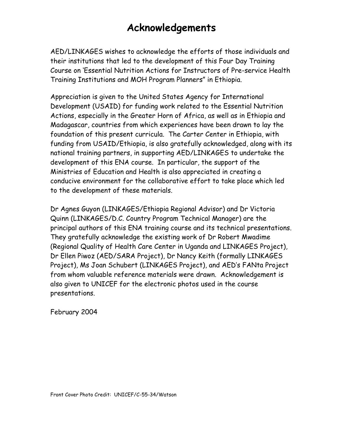# **Acknowledgements**

AED/LINKAGES wishes to acknowledge the efforts of those individuals and their institutions that led to the development of this Four Day Training Course on 'Essential Nutrition Actions for Instructors of Pre-service Health Training Institutions and MOH Program Planners" in Ethiopia.

Appreciation is given to the United States Agency for International Development (USAID) for funding work related to the Essential Nutrition Actions, especially in the Greater Horn of Africa, as well as in Ethiopia and Madagascar, countries from which experiences have been drawn to lay the foundation of this present curricula. The Carter Center in Ethiopia, with funding from USAID/Ethiopia, is also gratefully acknowledged, along with its national training partners, in supporting AED/LINKAGES to undertake the development of this ENA course. In particular, the support of the Ministries of Education and Health is also appreciated in creating a conducive environment for the collaborative effort to take place which led to the development of these materials.

Dr Agnes Guyon (LINKAGES/Ethiopia Regional Advisor) and Dr Victoria Quinn (LINKAGES/D.C. Country Program Technical Manager) are the principal authors of this ENA training course and its technical presentations. They gratefully acknowledge the existing work of Dr Robert Mwadime (Regional Quality of Health Care Center in Uganda and LINKAGES Project), Dr Ellen Piwoz (AED/SARA Project), Dr Nancy Keith (formally LINKAGES Project), Ms Joan Schubert (LINKAGES Project), and AED's FANta Project from whom valuable reference materials were drawn. Acknowledgement is also given to UNICEF for the electronic photos used in the course presentations.

February 2004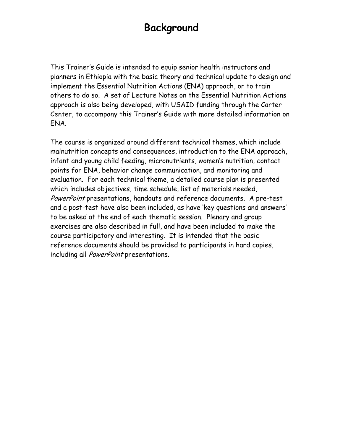# **Background**

This Trainer's Guide is intended to equip senior health instructors and planners in Ethiopia with the basic theory and technical update to design and implement the Essential Nutrition Actions (ENA) approach, or to train others to do so. A set of Lecture Notes on the Essential Nutrition Actions approach is also being developed, with USAID funding through the Carter Center, to accompany this Trainer's Guide with more detailed information on ENA.

The course is organized around different technical themes, which include malnutrition concepts and consequences, introduction to the ENA approach, infant and young child feeding, micronutrients, women's nutrition, contact points for ENA, behavior change communication, and monitoring and evaluation. For each technical theme, a detailed course plan is presented which includes objectives, time schedule, list of materials needed, PowerPoint presentations, handouts and reference documents. A pre-test and a post-test have also been included, as have 'key questions and answers' to be asked at the end of each thematic session. Plenary and group exercises are also described in full, and have been included to make the course participatory and interesting. It is intended that the basic reference documents should be provided to participants in hard copies, including all PowerPoint presentations.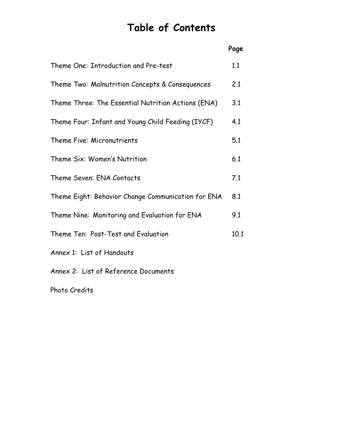# **Table of Contents**

|                                                    | Page |
|----------------------------------------------------|------|
| Theme One: Introduction and Pre-test               | 1.1  |
| Theme Two: Malnutrition Concepts & Consequences    | 2.1  |
| Theme Three: The Essential Nutrition Actions (ENA) | 3.1  |
| Theme Four: Infant and Young Child Feeding (IYCF)  | 4.1  |
| Theme Five: Micronutrients                         | 5.1  |
| Theme Six: Women's Nutrition                       | 6.1  |
| Theme Seven: ENA Contacts                          | 7.1  |
| Theme Eight: Behavior Change Communication for ENA | 8.1  |
| Theme Nine: Monitoring and Evaluation for ENA      | 9.1  |
| Theme Ten: Post-Test and Evaluation                | 10.1 |
| Annex 1: List of Handouts                          |      |
| Annex 2: List of Reference Documents               |      |
| Photo Credits                                      |      |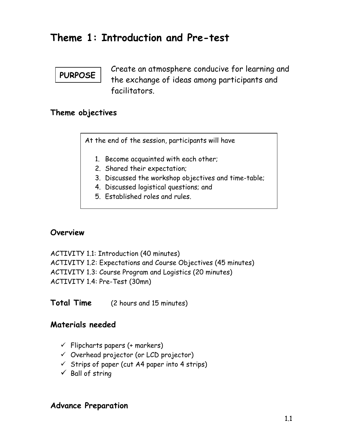## **Theme 1: Introduction and Pre-test**

## **PURPOSE**

Create an atmosphere conducive for learning and the exchange of ideas among participants and facilitators.

### **Theme objectives**

At the end of the session, participants will have

- 1. Become acquainted with each other;
- 2. Shared their expectation;
- 3. Discussed the workshop objectives and time-table;
- 4. Discussed logistical questions; and
- 5. Established roles and rules.

### **Overview**

ACTIVITY 1.1: Introduction (40 minutes) ACTIVITY 1.2: Expectations and Course Objectives (45 minutes) ACTIVITY 1.3: Course Program and Logistics (20 minutes) ACTIVITY 1.4: Pre-Test (30mn)

**Total Time** (2 hours and 15 minutes)

### **Materials needed**

- $\checkmark$  Flipcharts papers (+ markers)
- $\checkmark$  Overhead projector (or LCD projector)
- $\checkmark$  Strips of paper (cut A4 paper into 4 strips)
- $\checkmark$  Ball of string

### **Advance Preparation**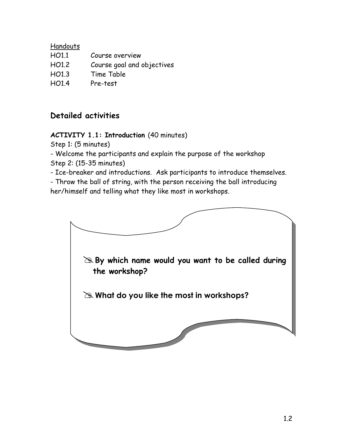#### Handouts

| H <sub>O1.1</sub> | Course overview            |
|-------------------|----------------------------|
| HO1.2             | Course goal and objectives |
| HO1.3             | Time Table                 |
| HO1.4             | Pre-test                   |

## **Detailed activities**

### **ACTIVITY 1.1: Introduction** (40 minutes)

Step 1: (5 minutes)

- Welcome the participants and explain the purpose of the workshop Step 2: (15-35 minutes)

- Ice-breaker and introductions. Ask participants to introduce themselves.

- Throw the ball of string, with the person receiving the ball introducing her/himself and telling what they like most in workshops.

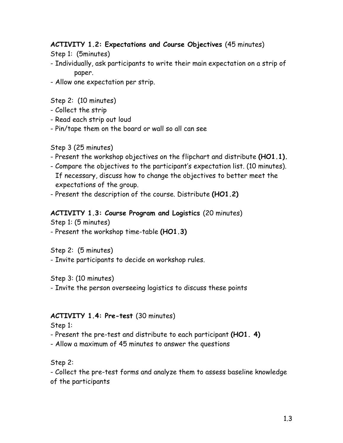### **ACTIVITY 1.2: Expectations and Course Objectives** (45 minutes)

Step 1: (5minutes)

- Individually, ask participants to write their main expectation on a strip of paper.
- Allow one expectation per strip.

Step 2: (10 minutes)

- Collect the strip
- Read each strip out loud
- Pin/tape them on the board or wall so all can see

Step 3 (25 minutes)

- Present the workshop objectives on the flipchart and distribute **(HO1.1).**
- Compare the objectives to the participant's expectation list. (10 minutes). If necessary, discuss how to change the objectives to better meet the expectations of the group.
- Present the description of the course. Distribute **(HO1.2)**

### **ACTIVITY 1.3: Course Program and Logistics** (20 minutes)

Step 1: (5 minutes)

- Present the workshop time-table **(HO1.3)**

Step 2: (5 minutes)

- Invite participants to decide on workshop rules.

Step 3: (10 minutes)

- Invite the person overseeing logistics to discuss these points

### **ACTIVITY 1.4: Pre-test** (30 minutes)

Step 1:

- Present the pre-test and distribute to each participant **(HO1. 4)**
- Allow a maximum of 45 minutes to answer the questions

Step 2:

- Collect the pre-test forms and analyze them to assess baseline knowledge of the participants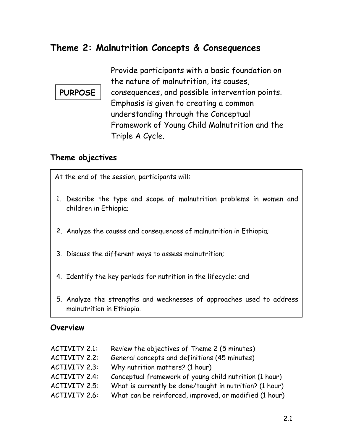## **Theme 2: Malnutrition Concepts & Consequences**

Provide participants with a basic foundation on the nature of malnutrition, its causes, consequences, and possible intervention points. Emphasis is given to creating a common understanding through the Conceptual Framework of Young Child Malnutrition and the Triple A Cycle. **PURPOSE** 

### **Theme objectives**

At the end of the session, participants will:

- 1. Describe the type and scope of malnutrition problems in women and children in Ethiopia;
- 2. Analyze the causes and consequences of malnutrition in Ethiopia;
- 3. Discuss the different ways to assess malnutrition;
- 4. Identify the key periods for nutrition in the lifecycle; and
- 5. Analyze the strengths and weaknesses of approaches used to address malnutrition in Ethiopia.

#### **Overview**

| ACTIVITY 2.1: | Review the objectives of Theme 2 (5 minutes)            |
|---------------|---------------------------------------------------------|
| ACTIVITY 2.2: | General concepts and definitions (45 minutes)           |
| ACTIVITY 2.3: | Why nutrition matters? (1 hour)                         |
| ACTIVITY 2.4: | Conceptual framework of young child nutrition (1 hour)  |
| ACTIVITY 2.5: | What is currently be done/taught in nutrition? (1 hour) |
| ACTIVITY 2.6: | What can be reinforced, improved, or modified (1 hour)  |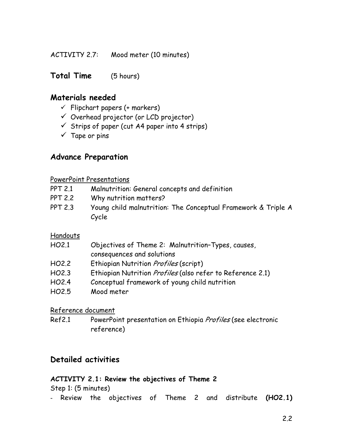ACTIVITY 2.7: Mood meter (10 minutes)

**Total Time** (5 hours)

### **Materials needed**

- $\checkmark$  Flipchart papers (+ markers)
- $\checkmark$  Overhead projector (or LCD projector)
- $\checkmark$  Strips of paper (cut A4 paper into 4 strips)
- $\checkmark$  Tape or pins

### **Advance Preparation**

#### PowerPoint Presentations

- PPT 2.1 Malnutrition: General concepts and definition
- PPT 2.2 Why nutrition matters?
- PPT 2.3 Young child malnutrition: The Conceptual Framework & Triple A Cycle

#### Handouts

- HO2.1 Objectives of Theme 2: Malnutrition–Types, causes, consequences and solutions
- HO2.2 Ethiopian Nutrition *Profiles* (script)
- HO2.3 Ethiopian Nutrition *Profiles* (also refer to Reference 2.1)
- HO2.4 Conceptual framework of young child nutrition
- HO2.5 Mood meter

#### Reference document

Ref2.1 PowerPoint presentation on Ethiopia Profiles (see electronic reference)

### **Detailed activities**

#### **ACTIVITY 2.1: Review the objectives of Theme 2**

Step 1: (5 minutes)

- Review the objectives of Theme 2 and distribute **(HO2.1)**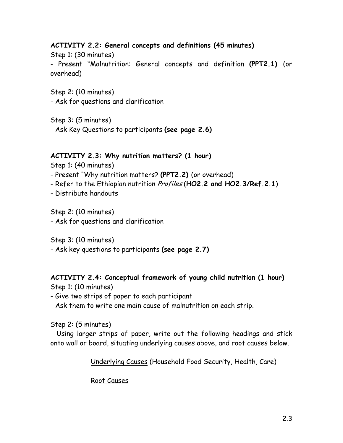### **ACTIVITY 2.2: General concepts and definitions (45 minutes)**

Step 1: (30 minutes) - Present "Malnutrition: General concepts and definition **(PPT2.1)** (or overhead)

Step 2: (10 minutes) - Ask for questions and clarification

Step 3: (5 minutes)

- Ask Key Questions to participants **(see page 2.6)**

#### **ACTIVITY 2.3: Why nutrition matters? (1 hour)**

Step 1: (40 minutes)

- Present "Why nutrition matters? **(PPT2.2)** (or overhead)
- Refer to the Ethiopian nutrition Profiles (**HO2.2 and HO2.3/Ref.2.1**)
- Distribute handouts

Step 2: (10 minutes)

- Ask for questions and clarification

Step 3: (10 minutes)

- Ask key questions to participants **(see page 2.7)**

### **ACTIVITY 2.4: Conceptual framework of young child nutrition (1 hour)**

- Step 1: (10 minutes)
- Give two strips of paper to each participant
- Ask them to write one main cause of malnutrition on each strip.

Step 2: (5 minutes)

- Using larger strips of paper, write out the following headings and stick onto wall or board, situating underlying causes above, and root causes below.

Underlying Causes (Household Food Security, Health, Care)

#### Root Causes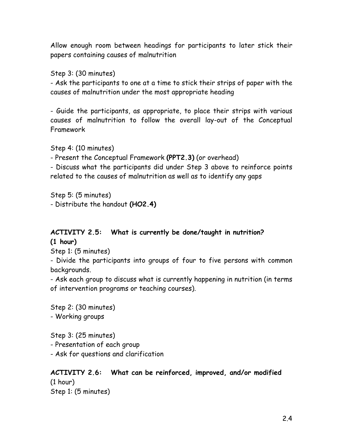Allow enough room between headings for participants to later stick their papers containing causes of malnutrition

Step 3: (30 minutes)

- Ask the participants to one at a time to stick their strips of paper with the causes of malnutrition under the most appropriate heading

- Guide the participants, as appropriate, to place their strips with various causes of malnutrition to follow the overall lay-out of the Conceptual Framework

Step 4: (10 minutes)

- Present the Conceptual Framework **(PPT2.3)** (or overhead)

- Discuss what the participants did under Step 3 above to reinforce points related to the causes of malnutrition as well as to identify any gaps

Step 5: (5 minutes) - Distribute the handout **(HO2.4)**

### **ACTIVITY 2.5: What is currently be done/taught in nutrition? (1 hour)**

Step 1: (5 minutes)

- Divide the participants into groups of four to five persons with common backgrounds.

- Ask each group to discuss what is currently happening in nutrition (in terms of intervention programs or teaching courses).

Step 2: (30 minutes)

- Working groups

Step 3: (25 minutes)

- Presentation of each group

- Ask for questions and clarification

## **ACTIVITY 2.6: What can be reinforced, improved, and/or modified**  (1 hour)

Step 1: (5 minutes)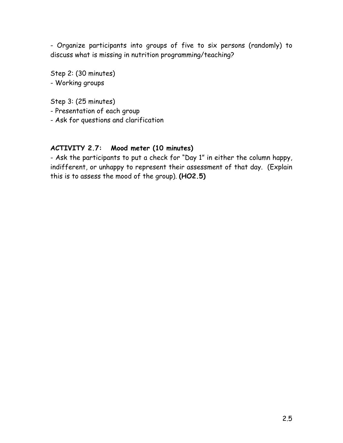- Organize participants into groups of five to six persons (randomly) to discuss what is missing in nutrition programming/teaching?

Step 2: (30 minutes)

- Working groups

Step 3: (25 minutes)

- Presentation of each group
- Ask for questions and clarification

#### **ACTIVITY 2.7: Mood meter (10 minutes)**

- Ask the participants to put a check for "Day 1" in either the column happy, indifferent, or unhappy to represent their assessment of that day. (Explain this is to assess the mood of the group). **(HO2.5)**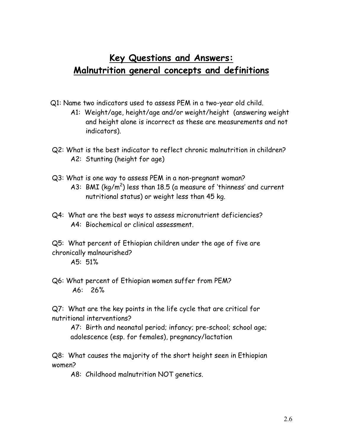## **Key Questions and Answers: Malnutrition general concepts and definitions**

- Q1: Name two indicators used to assess PEM in a two-year old child.
	- A1: Weight/age, height/age and/or weight/height (answering weight and height alone is incorrect as these are measurements and not indicators).
- Q2: What is the best indicator to reflect chronic malnutrition in children? A2: Stunting (height for age)
- Q3: What is one way to assess PEM in a non-pregnant woman? A3: BMI (kg/m<sup>2</sup>) less than 18.5 (a measure of 'thinness' and current nutritional status) or weight less than 45 kg.
- Q4: What are the best ways to assess micronutrient deficiencies? A4: Biochemical or clinical assessment.

Q5: What percent of Ethiopian children under the age of five are chronically malnourished?

A5: 51%

Q6: What percent of Ethiopian women suffer from PEM? A6: 26%

Q7: What are the key points in the life cycle that are critical for nutritional interventions?

A7: Birth and neonatal period; infancy; pre-school; school age; adolescence (esp. for females), pregnancy/lactation

Q8: What causes the majority of the short height seen in Ethiopian women?

A8: Childhood malnutrition NOT genetics.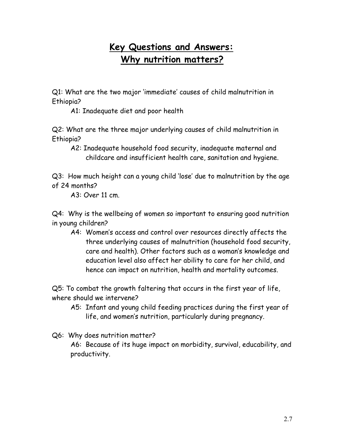## **Key Questions and Answers: Why nutrition matters?**

Q1: What are the two major 'immediate' causes of child malnutrition in Ethiopia?

A1: Inadequate diet and poor health

Q2: What are the three major underlying causes of child malnutrition in Ethiopia?

A2: Inadequate household food security, inadequate maternal and childcare and insufficient health care, sanitation and hygiene.

Q3: How much height can a young child 'lose' due to malnutrition by the age of 24 months?

A3: Over 11 cm.

Q4: Why is the wellbeing of women so important to ensuring good nutrition in young children?

A4: Women's access and control over resources directly affects the three underlying causes of malnutrition (household food security, care and health). Other factors such as a woman's knowledge and education level also affect her ability to care for her child, and hence can impact on nutrition, health and mortality outcomes.

Q5: To combat the growth faltering that occurs in the first year of life, where should we intervene?

A5: Infant and young child feeding practices during the first year of life, and women's nutrition, particularly during pregnancy.

Q6: Why does nutrition matter?

A6: Because of its huge impact on morbidity, survival, educability, and productivity.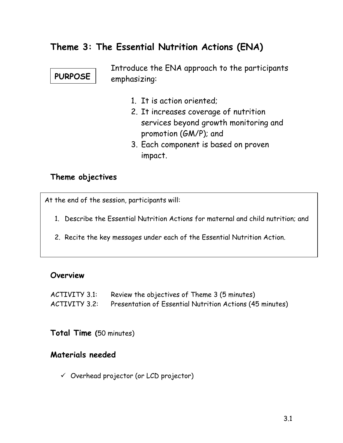## **Theme 3: The Essential Nutrition Actions (ENA)**



Introduce the ENA approach to the participants emphasizing:

- 1. It is action oriented;
- 2. It increases coverage of nutrition services beyond growth monitoring and promotion (GM/P); and
- 3. Each component is based on proven impact.

#### **Theme objectives**

At the end of the session, participants will:

- 1. Describe the Essential Nutrition Actions for maternal and child nutrition; and
- 2. Recite the key messages under each of the Essential Nutrition Action.

#### **Overview**

ACTIVITY 3.1: Review the objectives of Theme 3 (5 minutes)

ACTIVITY 3.2: Presentation of Essential Nutrition Actions (45 minutes)

**Total Time (**50 minutes)

### **Materials needed**

 $\checkmark$  Overhead projector (or LCD projector)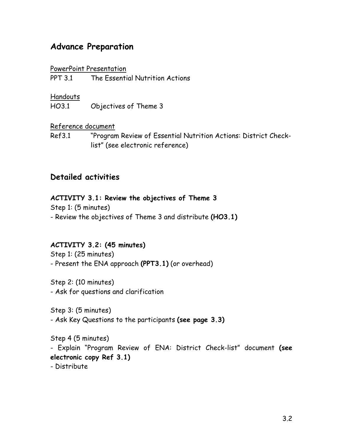## **Advance Preparation**

#### PowerPoint Presentation

PPT 3.1 The Essential Nutrition Actions

#### **Handouts**

HO3.1 Objectives of Theme 3

### Reference document

Ref3.1 "Program Review of Essential Nutrition Actions: District Checklist" (see electronic reference)

### **Detailed activities**

### **ACTIVITY 3.1: Review the objectives of Theme 3**

Step 1: (5 minutes) - Review the objectives of Theme 3 and distribute **(HO3.1)**

### **ACTIVITY 3.2: (45 minutes)**

Step 1: (25 minutes) - Present the ENA approach **(PPT3.1)** (or overhead)

Step 2: (10 minutes) - Ask for questions and clarification

Step 3: (5 minutes) - Ask Key Questions to the participants **(see page 3.3)** 

Step 4 (5 minutes) - Explain "Program Review of ENA: District Check-list" document **(see electronic copy Ref 3.1)** - Distribute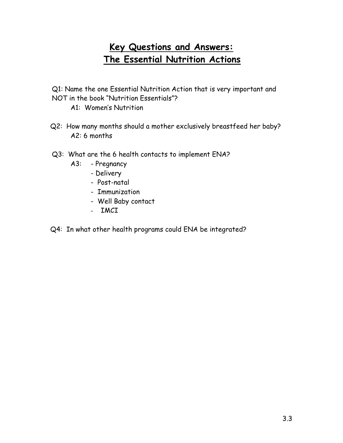## **Key Questions and Answers: The Essential Nutrition Actions**

- Q1: Name the one Essential Nutrition Action that is very important and NOT in the book "Nutrition Essentials"?
	- A1: Women's Nutrition
- Q2: How many months should a mother exclusively breastfeed her baby? A2: 6 months
- Q3: What are the 6 health contacts to implement ENA?
	- A3: Pregnancy
		- Delivery
		- Post-natal
		- Immunization
		- Well Baby contact
		- IMCI
- Q4: In what other health programs could ENA be integrated?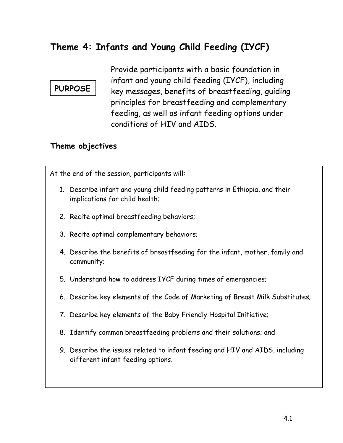## **Theme 4: Infants and Young Child Feeding (IYCF)**

## **PURPOSE**

Provide participants with a basic foundation in infant and young child feeding (IYCF), including key messages, benefits of breastfeeding, guiding principles for breastfeeding and complementary feeding, as well as infant feeding options under conditions of HIV and AIDS.

### **Theme objectives**

At the end of the session, participants will:

- 1. Describe infant and young child feeding patterns in Ethiopia, and their implications for child health;
- 2. Recite optimal breastfeeding behaviors;
- 3. Recite optimal complementary behaviors;
- 4. Describe the benefits of breastfeeding for the infant, mother, family and community;
- 5. Understand how to address IYCF during times of emergencies;
- 6. Describe key elements of the Code of Marketing of Breast Milk Substitutes;
- 7. Describe key elements of the Baby Friendly Hospital Initiative;
- 8. Identify common breastfeeding problems and their solutions; and
- 9. Describe the issues related to infant feeding and HIV and AIDS, including different infant feeding options.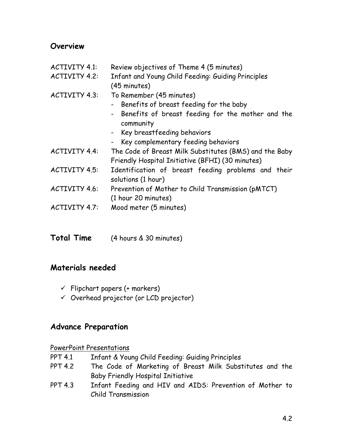### **Overview**

- ACTIVITY 4.1: Review objectives of Theme 4 (5 minutes)
- ACTIVITY 4.2: Infant and Young Child Feeding: Guiding Principles (45 minutes)
- ACTIVITY 4.3: To Remember (45 minutes)
	- Benefits of breast feeding for the baby
	- Benefits of breast feeding for the mother and the community
	- Key breastfeeding behaviors
	- Key complementary feeding behaviors
- ACTIVITY 4.4: The Code of Breast Milk Substitutes (BMS) and the Baby Friendly Hospital Initiative (BFHI) (30 minutes)
- ACTIVITY 4.5: Identification of breast feeding problems and their solutions (1 hour)
- ACTIVITY 4.6: Prevention of Mother to Child Transmission (pMTCT) (1 hour 20 minutes)
- ACTIVITY 4.7: Mood meter (5 minutes)
- **Total Time** (4 hours & 30 minutes)

### **Materials needed**

- $\checkmark$  Flipchart papers (+ markers)
- $\checkmark$  Overhead projector (or LCD projector)

### **Advance Preparation**

#### PowerPoint Presentations

- PPT 4.1 Infant & Young Child Feeding: Guiding Principles
- PPT 4.2 The Code of Marketing of Breast Milk Substitutes and the Baby Friendly Hospital Initiative
- PPT 4.3 Infant Feeding and HIV and AIDS: Prevention of Mother to Child Transmission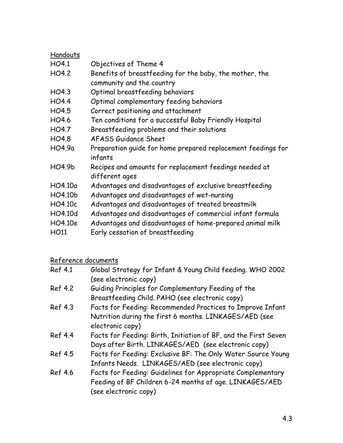| Handouts |                                                              |
|----------|--------------------------------------------------------------|
| HO4.1    | Objectives of Theme 4                                        |
| HO4.2    | Benefits of breastfeeding for the baby, the mother, the      |
|          | community and the country                                    |
| HO4.3    | Optimal breastfeeding behaviors                              |
| HO4.4    | Optimal complementary feeding behaviors                      |
| HO4.5    | Correct positioning and attachment                           |
| HO4.6    | Ten conditions for a successful Baby Friendly Hospital       |
| HO4.7    | Breastfeeding problems and their solutions                   |
| HO4.8    | AFASS Guidance Sheet                                         |
| HO4.9a   | Preparation quide for home prepared replacement feedings for |
|          | infants                                                      |
| HO4.9b   | Recipes and amounts for replacement feedings needed at       |
|          | different ages                                               |
| HO4.10a  | Advantages and disadvantages of exclusive breastfeeding      |
| HO4.10b  | Advantages and disadvantages of wet-nursing                  |
| HO4.10c  | Advantages and disadvantages of treated breastmilk           |
| HO4.10d  | Advantages and disadvantages of commercial infant formula    |
| HO4.10e  | Advantages and disadvantages of home-prepared animal milk    |
| HO11     | Early cessation of breastfeeding                             |
|          |                                                              |

## Reference documents

| Ref 4.1 | Global Strategy for Infant & Young Child feeding. WHO 2002      |
|---------|-----------------------------------------------------------------|
|         | (see electronic copy)                                           |
| Ref 4.2 | Guiding Principles for Complementary Feeding of the             |
|         | Breastfeeding Child. PAHO (see electronic copy)                 |
| Ref 4.3 | Facts for Feeding: Recommended Practices to Improve Infant      |
|         | Nutrition during the first 6 months. LINKAGES/AED (see          |
|         | electronic copy)                                                |
| Ref 4.4 | Facts for Feeding: Birth, Initiation of BF, and the First Seven |
|         | Days after Birth. LINKAGES/AED (see electronic copy)            |
| Ref 4.5 | Facts for Feeding: Exclusive BF: The Only Water Source Young    |
|         | Infants Needs. LINKAGES/AED (see electronic copy)               |
| Ref 4.6 | Facts for Feeding: Guidelines for Appropriate Complementary     |
|         | Feeding of BF Children 6-24 months of age. LINKAGES/AED         |
|         | (see electronic copy)                                           |
|         |                                                                 |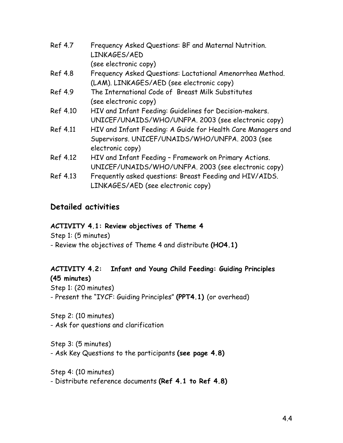| <b>Ref 4.7</b> | Frequency Asked Questions: BF and Maternal Nutrition.<br>LINKAGES/AED<br>(see electronic copy) |
|----------------|------------------------------------------------------------------------------------------------|
| <b>Ref 4.8</b> | Frequency Asked Questions: Lactational Amenorrhea Method.                                      |
|                | (LAM). LINKAGES/AED (see electronic copy)                                                      |
| Ref 4.9        | The International Code of Breast Milk Substitutes                                              |
|                | (see electronic copy)                                                                          |
| Ref 4.10       | HIV and Infant Feeding: Guidelines for Decision-makers.                                        |
|                | UNICEF/UNAIDS/WHO/UNFPA. 2003 (see electronic copy)                                            |
| Ref 4.11       | HIV and Infant Feeding: A Guide for Health Care Managers and                                   |
|                | Supervisors. UNICEF/UNAIDS/WHO/UNFPA. 2003 (see                                                |
|                | electronic copy)                                                                               |
| Ref 4.12       | HIV and Infant Feeding - Framework on Primary Actions.                                         |
|                | UNICEF/UNAIDS/WHO/UNFPA. 2003 (see electronic copy)                                            |
| Ref 4.13       | Frequently asked questions: Breast Feeding and HIV/AIDS.                                       |
|                | LINKAGES/AED (see electronic copy)                                                             |

### **Detailed activities**

### **ACTIVITY 4.1: Review objectives of Theme 4**

Step 1: (5 minutes)

- Review the objectives of Theme 4 and distribute **(HO4.1)**

### **ACTIVITY 4.2: Infant and Young Child Feeding: Guiding Principles (45 minutes)**

Step 1: (20 minutes) - Present the "IYCF: Guiding Principles" **(PPT4.1)** (or overhead)

Step 2: (10 minutes) - Ask for questions and clarification

Step 3: (5 minutes) - Ask Key Questions to the participants **(see page 4.8)**

Step 4: (10 minutes) - Distribute reference documents **(Ref 4.1 to Ref 4.8)**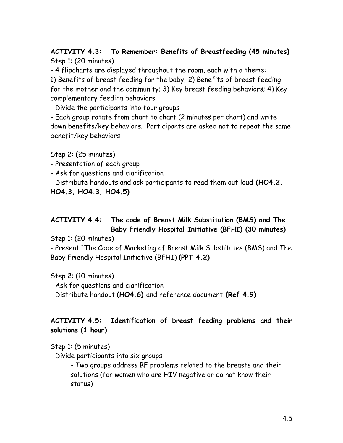### **ACTIVITY 4.3: To Remember: Benefits of Breastfeeding (45 minutes)**  Step 1: (20 minutes)

- 4 flipcharts are displayed throughout the room, each with a theme:

1) Benefits of breast feeding for the baby; 2) Benefits of breast feeding for the mother and the community; 3) Key breast feeding behaviors; 4) Key complementary feeding behaviors

- Divide the participants into four groups

- Each group rotate from chart to chart (2 minutes per chart) and write down benefits/key behaviors. Participants are asked not to repeat the same benefit/key behaviors

Step 2: (25 minutes)

- Presentation of each group

- Ask for questions and clarification

- Distribute handouts and ask participants to read them out loud **(HO4.2,** 

**HO4.3, HO4.3, HO4.5)** 

### **ACTIVITY 4.4: The code of Breast Milk Substitution (BMS) and The Baby Friendly Hospital Initiative (BFHI) (30 minutes)**

Step 1: (20 minutes)

- Present "The Code of Marketing of Breast Milk Substitutes (BMS) and The Baby Friendly Hospital Initiative (BFHI) **(PPT 4.2)** 

Step 2: (10 minutes)

- Ask for questions and clarification

- Distribute handout **(HO4.6)** and reference document **(Ref 4.9)** 

### **ACTIVITY 4.5: Identification of breast feeding problems and their solutions (1 hour)**

Step 1: (5 minutes)

- Divide participants into six groups

- Two groups address BF problems related to the breasts and their solutions (for women who are HIV negative or do not know their status)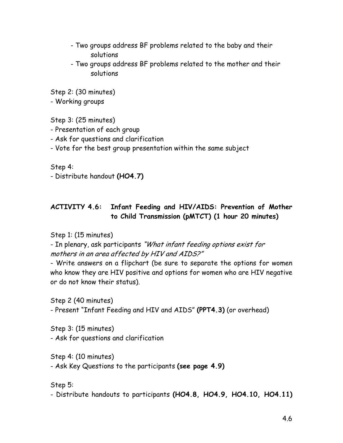- Two groups address BF problems related to the baby and their solutions
- Two groups address BF problems related to the mother and their solutions

Step 2: (30 minutes)

- Working groups

Step 3: (25 minutes)

- Presentation of each group
- Ask for questions and clarification
- Vote for the best group presentation within the same subject

Step 4:

- Distribute handout **(HO4.7)**

### **ACTIVITY 4.6: Infant Feeding and HIV/AIDS: Prevention of Mother to Child Transmission (pMTCT) (1 hour 20 minutes)**

### Step 1: (15 minutes)

- In plenary, ask participants "What infant feeding options exist for mothers in an area affected by HIV and AIDS?"

- Write answers on a flipchart (be sure to separate the options for women who know they are HIV positive and options for women who are HIV negative or do not know their status).

Step 2 (40 minutes)

- Present "Infant Feeding and HIV and AIDS" **(PPT4.3)** (or overhead)

Step 3: (15 minutes) - Ask for questions and clarification

Step 4: (10 minutes)

- Ask Key Questions to the participants **(see page 4.9)**

Step 5:

- Distribute handouts to participants **(HO4.8, HO4.9, HO4.10, HO4.11)**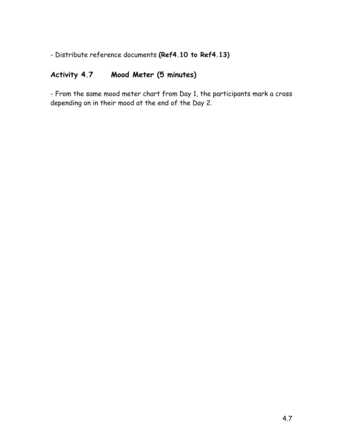- Distribute reference documents **(Ref4.10 to Ref4.13)**

## **Activity 4.7 Mood Meter (5 minutes)**

- From the same mood meter chart from Day 1, the participants mark a cross depending on in their mood at the end of the Day 2.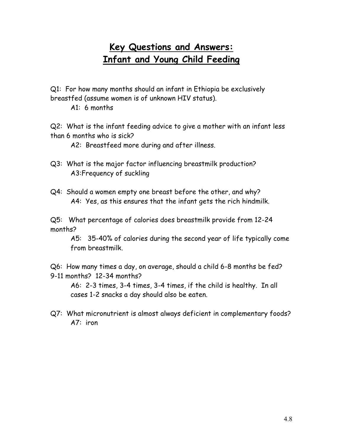## **Key Questions and Answers: Infant and Young Child Feeding**

Q1: For how many months should an infant in Ethiopia be exclusively breastfed (assume women is of unknown HIV status).

A1: 6 months

Q2: What is the infant feeding advice to give a mother with an infant less than 6 months who is sick?

A2: Breastfeed more during and after illness.

- Q3: What is the major factor influencing breastmilk production? A3:Frequency of suckling
- Q4: Should a women empty one breast before the other, and why? A4: Yes, as this ensures that the infant gets the rich hindmilk.

Q5: What percentage of calories does breastmilk provide from 12-24 months?

A5: 35-40% of calories during the second year of life typically come from breastmilk.

Q6: How many times a day, on average, should a child 6-8 months be fed? 9-11 months? 12-34 months?

A6: 2-3 times, 3-4 times, 3-4 times, if the child is healthy. In all cases 1-2 snacks a day should also be eaten.

Q7: What micronutrient is almost always deficient in complementary foods? A7: iron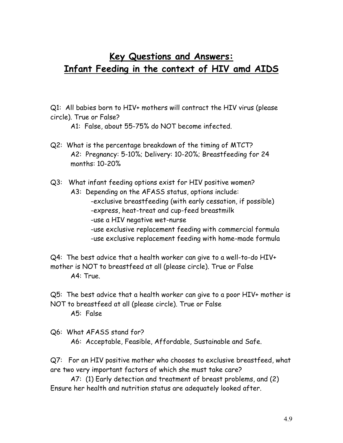## **Key Questions and Answers: Infant Feeding in the context of HIV amd AIDS**

Q1: All babies born to HIV+ mothers will contract the HIV virus (please circle). True or False?

A1: False, about 55-75% do NOT become infected.

Q2: What is the percentage breakdown of the timing of MTCT? A2: Pregnancy: 5-10%; Delivery: 10-20%; Breastfeeding for 24 months: 10-20%

Q3: What infant feeding options exist for HIV positive women?

- A3: Depending on the AFASS status, options include:
	- -exclusive breastfeeding (with early cessation, if possible)
	- -express, heat-treat and cup-feed breastmilk
	- -use a HIV negative wet-nurse
	- -use exclusive replacement feeding with commercial formula
	- -use exclusive replacement feeding with home-made formula

Q4: The best advice that a health worker can give to a well-to-do HIV+ mother is NOT to breastfeed at all (please circle). True or False A4: True.

Q5: The best advice that a health worker can give to a poor HIV+ mother is NOT to breastfeed at all (please circle). True or False

A5: False

Q6: What AFASS stand for? A6: Acceptable, Feasible, Affordable, Sustainable and Safe.

Q7: For an HIV positive mother who chooses to exclusive breastfeed, what are two very important factors of which she must take care?

 A7: (1) Early detection and treatment of breast problems, and (2) Ensure her health and nutrition status are adequately looked after.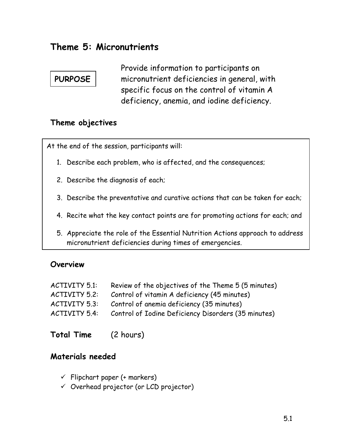## **Theme 5: Micronutrients**

## **PURPOSE**

Provide information to participants on micronutrient deficiencies in general, with specific focus on the control of vitamin A deficiency, anemia, and iodine deficiency.

### **Theme objectives**

At the end of the session, participants will:

- 1. Describe each problem, who is affected, and the consequences;
- 2. Describe the diagnosis of each;
- 3. Describe the preventative and curative actions that can be taken for each;
- 4. Recite what the key contact points are for promoting actions for each; and
- 5. Appreciate the role of the Essential Nutrition Actions approach to address micronutrient deficiencies during times of emergencies.

### **Overview**

| Review of the objectives of the Theme 5 (5 minutes) |
|-----------------------------------------------------|
| Control of vitamin A deficiency (45 minutes)        |
| Control of anemia deficiency (35 minutes)           |
| Control of Iodine Deficiency Disorders (35 minutes) |
|                                                     |

**Total Time** (2 hours)

### **Materials needed**

- $\checkmark$  Flipchart paper (+ markers)
- $\checkmark$  Overhead projector (or LCD projector)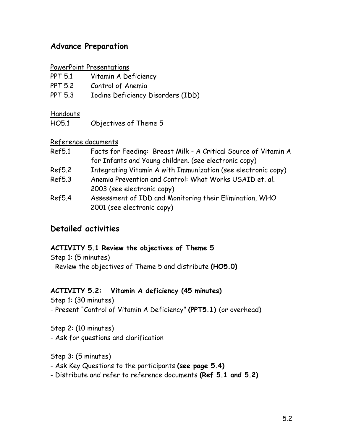### **Advance Preparation**

#### PowerPoint Presentations

| <b>PPT 5.1</b> | Vitamin A Deficiency              |
|----------------|-----------------------------------|
| <b>PPT 5.2</b> | Control of Anemia                 |
| <b>PPT 5.3</b> | Iodine Deficiency Disorders (IDD) |

#### Handouts

HO5.1 Objectives of Theme 5

#### Reference documents

| Ref5.1        | Facts for Feeding: Breast Milk - A Critical Source of Vitamin A |
|---------------|-----------------------------------------------------------------|
|               | for Infants and Young children. (see electronic copy)           |
| <b>Ref5.2</b> | Integrating Vitamin A with Immunization (see electronic copy)   |
| <b>Ref5.3</b> | Anemia Prevention and Control: What Works USAID et. al.         |
|               | 2003 (see electronic copy)                                      |
| <b>Ref5.4</b> | Assessment of IDD and Monitoring their Elimination, WHO         |
|               | 2001 (see electronic copy)                                      |

### **Detailed activities**

### **ACTIVITY 5.1 Review the objectives of Theme 5**

Step 1: (5 minutes)

- Review the objectives of Theme 5 and distribute **(HO5.0)**

### **ACTIVITY 5.2: Vitamin A deficiency (45 minutes)**

Step 1: (30 minutes)

- Present "Control of Vitamin A Deficiency" **(PPT5.1)** (or overhead)

Step 2: (10 minutes) - Ask for questions and clarification

Step 3: (5 minutes)

- Ask Key Questions to the participants **(see page 5.4)**
- Distribute and refer to reference documents **(Ref 5.1 and 5.2)**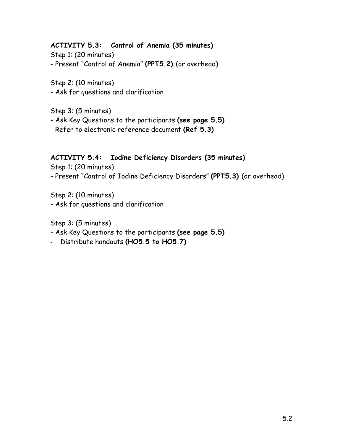### **ACTIVITY 5.3: Control of Anemia (35 minutes)**

Step 1: (20 minutes) - Present "Control of Anemia" **(PPT5.2)** (or overhead)

Step 2: (10 minutes)

- Ask for questions and clarification

Step 3: (5 minutes)

- Ask Key Questions to the participants **(see page 5.5)**
- Refer to electronic reference document **(Ref 5.3)**

### **ACTIVITY 5.4: Iodine Deficiency Disorders (35 minutes)**

Step 1: (20 minutes)

- Present "Control of Iodine Deficiency Disorders" **(PPT5.3)** (or overhead)

Step 2: (10 minutes)

- Ask for questions and clarification

Step 3: (5 minutes)

- Ask Key Questions to the participants **(see page 5.5)**
- Distribute handouts **(HO5.5 to HO5.7)**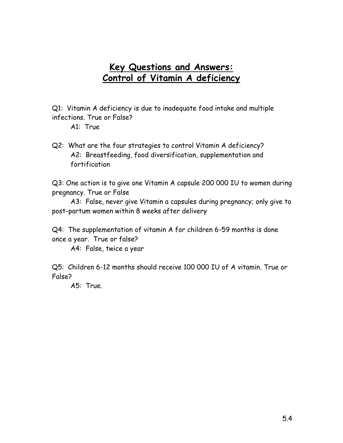## **Key Questions and Answers: Control of Vitamin A deficiency**

Q1: Vitamin A deficiency is due to inadequate food intake and multiple infections. True or False?

Q2: What are the four strategies to control Vitamin A deficiency? A2: Breastfeeding, food diversification, supplementation and fortification

Q3: One action is to give one Vitamin A capsule 200 000 IU to women during pregnancy. True or False

A3: False, never give Vitamin a capsules during pregnancy; only give to post-partum women within 8 weeks after delivery

Q4: The supplementation of vitamin A for children 6-59 months is done once a year. True or false?

A4: False, twice a year

Q5: Children 6-12 months should receive 100 000 IU of A vitamin. True or False?

A5: True.

A1: True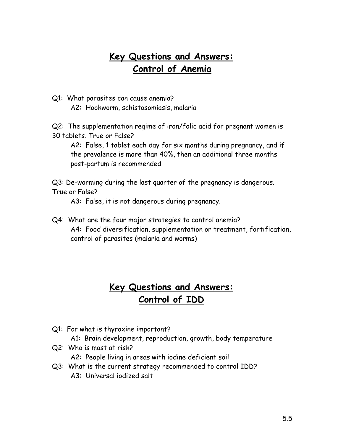## **Key Questions and Answers: Control of Anemia**

Q1: What parasites can cause anemia? A2: Hookworm, schistosomiasis, malaria

Q2: The supplementation regime of iron/folic acid for pregnant women is 30 tablets. True or False?

A2: False, 1 tablet each day for six months during pregnancy, and if the prevalence is more than 40%, then an additional three months post-partum is recommended

Q3: De-worming during the last quarter of the pregnancy is dangerous. True or False?

A3: False, it is not dangerous during pregnancy.

Q4: What are the four major strategies to control anemia? A4: Food diversification, supplementation or treatment, fortification, control of parasites (malaria and worms)

## **Key Questions and Answers: Control of IDD**

- Q1: For what is thyroxine important?
	- A1: Brain development, reproduction, growth, body temperature
- Q2: Who is most at risk? A2: People living in areas with iodine deficient soil
- Q3: What is the current strategy recommended to control IDD? A3: Universal iodized salt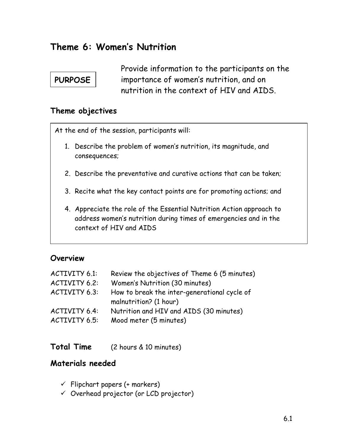## **Theme 6: Women's Nutrition**

## **PURPOSE**

Provide information to the participants on the importance of women's nutrition, and on nutrition in the context of HIV and AIDS.

### **Theme objectives**

At the end of the session, participants will:

- 1. Describe the problem of women's nutrition, its magnitude, and consequences;
- 2. Describe the preventative and curative actions that can be taken;
- 3. Recite what the key contact points are for promoting actions; and
- 4. Appreciate the role of the Essential Nutrition Action approach to address women's nutrition during times of emergencies and in the context of HIV and AIDS

### **Overview**

| ACTIVITY 6.1: | Review the objectives of Theme 6 (5 minutes)                           |
|---------------|------------------------------------------------------------------------|
| ACTIVITY 6.2: | Women's Nutrition (30 minutes)                                         |
| ACTIVITY 6.3: | How to break the inter-generational cycle of<br>malnutrition? (1 hour) |
| ACTIVITY 6.4: | Nutrition and HIV and AIDS (30 minutes)                                |
| ACTIVITY 6.5: | Mood meter (5 minutes)                                                 |

**Total Time** (2 hours & 10 minutes)

### **Materials needed**

- $\checkmark$  Flipchart papers (+ markers)
- $\checkmark$  Overhead projector (or LCD projector)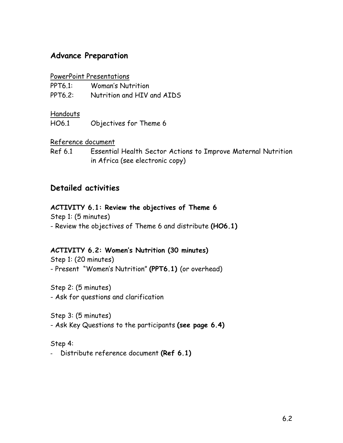### **Advance Preparation**

### PowerPoint Presentations

| <b>PPT6.1:</b> | <b>Woman's Nutrition</b>   |
|----------------|----------------------------|
| <b>PPT6.2:</b> | Nutrition and HIV and AIDS |

### Handouts

HO6.1 Objectives for Theme 6

### Reference document

Ref 6.1 Essential Health Sector Actions to Improve Maternal Nutrition in Africa (see electronic copy)

### **Detailed activities**

### **ACTIVITY 6.1: Review the objectives of Theme 6**

Step 1: (5 minutes)

- Review the objectives of Theme 6 and distribute **(HO6.1)**

### **ACTIVITY 6.2: Women's Nutrition (30 minutes)**

Step 1: (20 minutes) - Present "Women's Nutrition" **(PPT6.1)** (or overhead)

Step 2: (5 minutes) - Ask for questions and clarification

Step 3: (5 minutes) - Ask Key Questions to the participants **(see page 6.4)**

Step 4:

- Distribute reference document **(Ref 6.1)**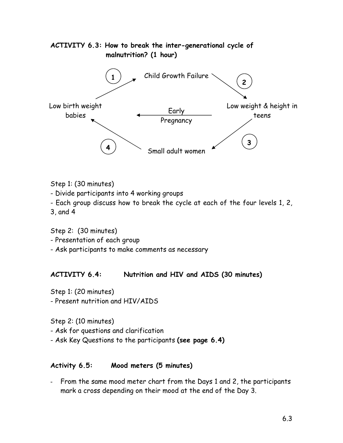

Step 1: (30 minutes)

- Divide participants into 4 working groups

- Each group discuss how to break the cycle at each of the four levels 1, 2,

3, and 4

Step 2: (30 minutes)

- Presentation of each group

- Ask participants to make comments as necessary

### **ACTIVITY 6.4: Nutrition and HIV and AIDS (30 minutes)**

Step 1: (20 minutes)

- Present nutrition and HIV/AIDS

Step 2: (10 minutes)

- Ask for questions and clarification

- Ask Key Questions to the participants **(see page 6.4)**

### **Activity 6.5: Mood meters (5 minutes)**

- From the same mood meter chart from the Days 1 and 2, the participants mark a cross depending on their mood at the end of the Day 3.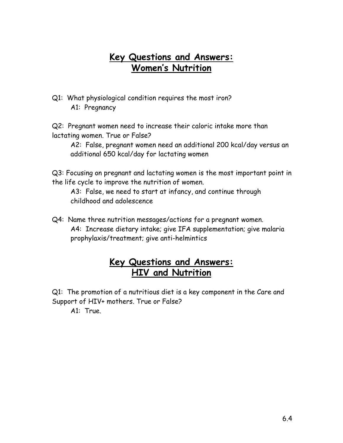## **Key Questions and Answers: Women's Nutrition**

Q1: What physiological condition requires the most iron? A1: Pregnancy

Q2: Pregnant women need to increase their caloric intake more than lactating women. True or False?

A2: False, pregnant women need an additional 200 kcal/day versus an additional 650 kcal/day for lactating women

Q3: Focusing on pregnant and lactating women is the most important point in the life cycle to improve the nutrition of women.

A3: False, we need to start at infancy, and continue through childhood and adolescence

Q4: Name three nutrition messages/actions for a pregnant women. A4: Increase dietary intake; give IFA supplementation; give malaria prophylaxis/treatment; give anti-helmintics

## **Key Questions and Answers: HIV and Nutrition**

Q1: The promotion of a nutritious diet is a key component in the Care and Support of HIV+ mothers. True or False?

A1: True.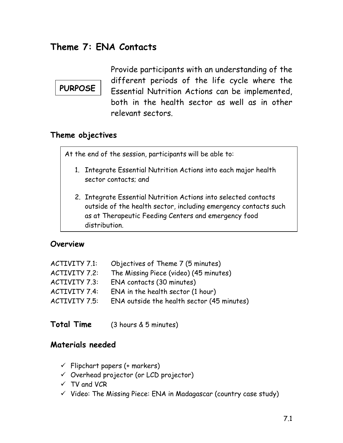## **Theme 7: ENA Contacts**

## **PURPOSE**

Provide participants with an understanding of the different periods of the life cycle where the Essential Nutrition Actions can be implemented, both in the health sector as well as in other relevant sectors.

### **Theme objectives**

At the end of the session, participants will be able to:

- 1. Integrate Essential Nutrition Actions into each major health sector contacts; and
- 2. Integrate Essential Nutrition Actions into selected contacts outside of the health sector, including emergency contacts such as at Therapeutic Feeding Centers and emergency food distribution.

### **Overview**

| ACTIVITY 7.1: | Objectives of Theme 7 (5 minutes)          |
|---------------|--------------------------------------------|
| ACTIVITY 7.2: | The Missing Piece (video) (45 minutes)     |
| ACTIVITY 7.3: | ENA contacts (30 minutes)                  |
| ACTIVITY 7.4: | ENA in the health sector (1 hour)          |
| ACTIVITY 7.5: | ENA outside the health sector (45 minutes) |

**Total Time** (3 hours & 5 minutes)

### **Materials needed**

- $\checkmark$  Flipchart papers (+ markers)
- $\checkmark$  Overhead projector (or LCD projector)
- $\checkmark$  TV and VCR
- $\checkmark$  Video: The Missing Piece: ENA in Madagascar (country case study)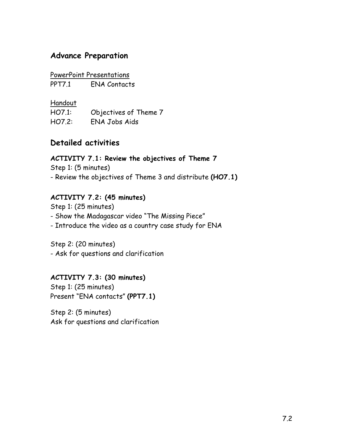### **Advance Preparation**

### PowerPoint Presentations

PPT7.1 FNA Contacts

Handout

HO7.1: Objectives of Theme 7 HO7.2: ENA Jobs Aids

### **Detailed activities**

### **ACTIVITY 7.1: Review the objectives of Theme 7**  Step 1: (5 minutes) - Review the objectives of Theme 3 and distribute **(HO7.1)**

### **ACTIVITY 7.2: (45 minutes)**

Step 1: (25 minutes) - Show the Madagascar video "The Missing Piece" - Introduce the video as a country case study for ENA

Step 2: (20 minutes) - Ask for questions and clarification

### **ACTIVITY 7.3: (30 minutes)**

Step 1: (25 minutes) Present "ENA contacts" **(PPT7.1)**

Step 2: (5 minutes) Ask for questions and clarification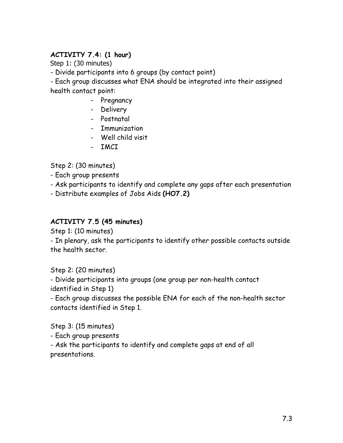### **ACTIVITY 7.4: (1 hour)**

Step 1: (30 minutes)

- Divide participants into 6 groups (by contact point)

- Each group discusses what ENA should be integrated into their assigned health contact point:

- Pregnancy
- Delivery
- Postnatal
- Immunization
- Well child visit
- IMCI

Step 2: (30 minutes)

- Each group presents
- Ask participants to identify and complete any gaps after each presentation
- Distribute examples of Jobs Aids **(HO7.2)**

### **ACTIVITY 7.5 (45 minutes)**

Step 1: (10 minutes)

- In plenary, ask the participants to identify other possible contacts outside the health sector.

Step 2: (20 minutes)

- Divide participants into groups (one group per non-health contact identified in Step 1)

- Each group discusses the possible ENA for each of the non-health sector contacts identified in Step 1.

Step 3: (15 minutes)

- Each group presents

- Ask the participants to identify and complete gaps at end of all presentations.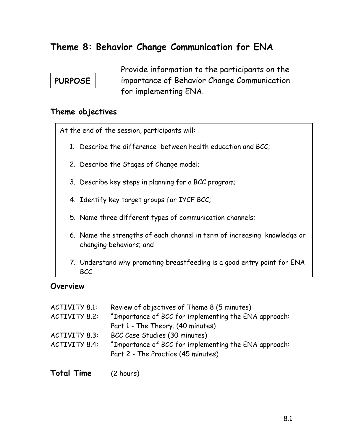## **Theme 8: Behavior Change Communication for ENA**

## **PURPOSE**

Provide information to the participants on the importance of Behavior Change Communication for implementing ENA.

#### **Theme objectives**

At the end of the session, participants will:

- 1. Describe the difference between health education and BCC;
- 2. Describe the Stages of Change model;
- 3. Describe key steps in planning for a BCC program;
- 4. Identify key target groups for IYCF BCC;
- 5. Name three different types of communication channels;
- 6. Name the strengths of each channel in term of increasing knowledge or changing behaviors; and
- 7. Understand why promoting breastfeeding is a good entry point for ENA BCC.

#### **Overview**

| ACTIVITY 8.1: | Review of objectives of Theme 8 (5 minutes)                                                 |
|---------------|---------------------------------------------------------------------------------------------|
| ACTIVITY 8.2: | "Importance of BCC for implementing the ENA approach:                                       |
|               | Part 1 - The Theory. (40 minutes)                                                           |
| ACTIVITY 8.3: | BCC Case Studies (30 minutes)                                                               |
| ACTIVITY 8.4: | "Importance of BCC for implementing the ENA approach:<br>Part 2 - The Practice (45 minutes) |
|               |                                                                                             |

|  | <b>Total Time</b> | (2 hours) |
|--|-------------------|-----------|
|--|-------------------|-----------|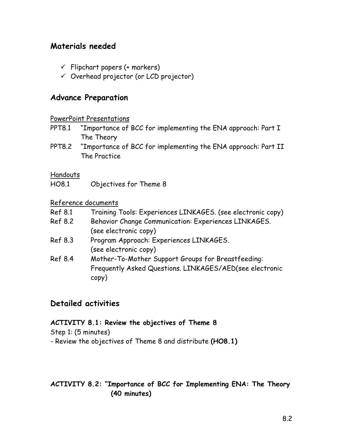### **Materials needed**

- $\checkmark$  Flipchart papers (+ markers)
- $\checkmark$  Overhead projector (or LCD projector)

### **Advance Preparation**

#### PowerPoint Presentations

- PPT8.1 "Importance of BCC for implementing the ENA approach: Part I The Theory
- PPT8.2 "Importance of BCC for implementing the ENA approach: Part II The Practice

#### Handouts

HO8.1 Objectives for Theme 8

#### Reference documents

- Ref 8.1 Training Tools: Experiences LINKAGES. (see electronic copy)
- Ref 8.2 Behavior Change Communication: Experiences LINKAGES. (see electronic copy)
- Ref 8.3 Program Approach: Experiences LINKAGES. (see electronic copy)
- Ref 8.4 Mother-To-Mother Support Groups for Breastfeeding: Frequently Asked Questions. LINKAGES/AED(see electronic copy)

### **Detailed activities**

#### **ACTIVITY 8.1: Review the objectives of Theme 8**

Step 1: (5 minutes)

- Review the objectives of Theme 8 and distribute **(HO8.1)**

### **ACTIVITY 8.2: "Importance of BCC for Implementing ENA: The Theory (40 minutes)**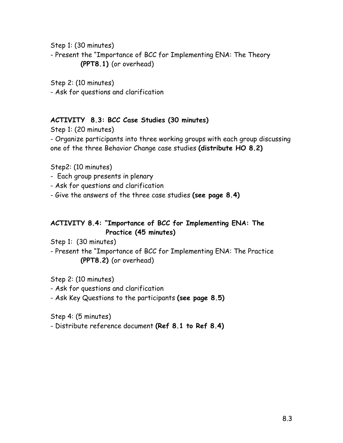Step 1: (30 minutes)

- Present the "Importance of BCC for Implementing ENA: The Theory **(PPT8.1)** (or overhead)

Step 2: (10 minutes) - Ask for questions and clarification

### **ACTIVITY 8.3: BCC Case Studies (30 minutes)**

Step 1: (20 minutes) - Organize participants into three working groups with each group discussing one of the three Behavior Change case studies **(distribute HO 8.2)** 

Step2: (10 minutes)

- Each group presents in plenary
- Ask for questions and clarification
- Give the answers of the three case studies **(see page 8.4)**

### **ACTIVITY 8.4: "Importance of BCC for Implementing ENA: The Practice (45 minutes)**

Step 1: (30 minutes)

- Present the "Importance of BCC for Implementing ENA: The Practice **(PPT8.2)** (or overhead)

Step 2: (10 minutes)

- Ask for questions and clarification

- Ask Key Questions to the participants **(see page 8.5)**

Step 4: (5 minutes)

- Distribute reference document **(Ref 8.1 to Ref 8.4)**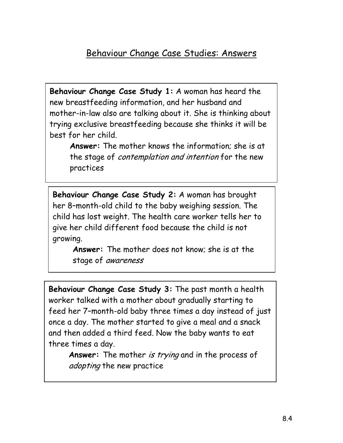## Behaviour Change Case Studies: Answers

**Behaviour Change Case Study 1:** A woman has heard the new breastfeeding information, and her husband and mother-in-law also are talking about it. She is thinking about trying exclusive breastfeeding because she thinks it will be best for her child.

**Answer:** The mother knows the information; she is at the stage of contemplation and intention for the new practices

**Behaviour Change Case Study 2:** A woman has brought her 8–month-old child to the baby weighing session. The child has lost weight. The health care worker tells her to give her child different food because the child is not growing.

**Answer:** The mother does not know; she is at the stage of awareness

**Behaviour Change Case Study 3:** The past month a health worker talked with a mother about gradually starting to feed her 7–month-old baby three times a day instead of just once a day. The mother started to give a meal and a snack and then added a third feed. Now the baby wants to eat three times a day.

Answer: The mother is trying and in the process of adopting the new practice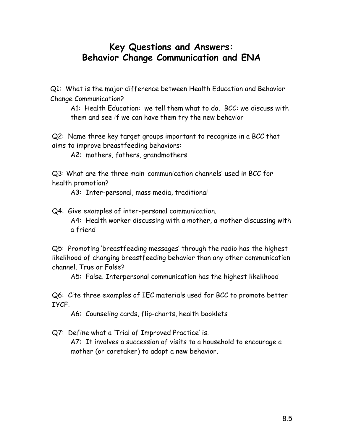## **Key Questions and Answers: Behavior Change Communication and ENA**

Q1: What is the major difference between Health Education and Behavior Change Communication?

A1: Health Education: we tell them what to do. BCC: we discuss with them and see if we can have them try the new behavior

Q2: Name three key target groups important to recognize in a BCC that aims to improve breastfeeding behaviors:

A2: mothers, fathers, grandmothers

Q3: What are the three main 'communication channels' used in BCC for health promotion?

A3: Inter-personal, mass media, traditional

Q4: Give examples of inter-personal communication. A4: Health worker discussing with a mother, a mother discussing with a friend

Q5: Promoting 'breastfeeding messages' through the radio has the highest likelihood of changing breastfeeding behavior than any other communication channel. True or False?

A5: False. Interpersonal communication has the highest likelihood

Q6: Cite three examples of IEC materials used for BCC to promote better IYCF.

A6: Counseling cards, flip-charts, health booklets

Q7: Define what a 'Trial of Improved Practice' is.

A7: It involves a succession of visits to a household to encourage a mother (or caretaker) to adopt a new behavior.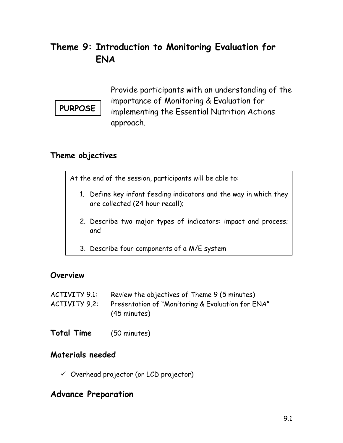## **Theme 9: Introduction to Monitoring Evaluation for ENA**

**PURPOSE** 

Provide participants with an understanding of the importance of Monitoring & Evaluation for implementing the Essential Nutrition Actions approach.

### **Theme objectives**

At the end of the session, participants will be able to:

- 1. Define key infant feeding indicators and the way in which they are collected (24 hour recall);
- 2. Describe two major types of indicators: impact and process; and
- 3. Describe four components of a M/E system

### **Overview**

- ACTIVITY 9.1: Review the objectives of Theme 9 (5 minutes)
- ACTIVITY 9.2: Presentation of "Monitoring & Evaluation for ENA" (45 minutes)
- **Total Time** (50 minutes)

### **Materials needed**

 $\checkmark$  Overhead projector (or LCD projector)

## **Advance Preparation**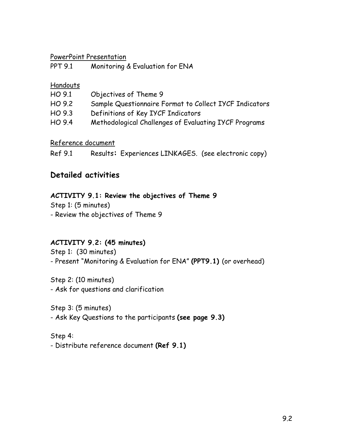#### PowerPoint Presentation

| <b>PPT 9.1</b> | Monitoring & Evaluation for ENA |  |
|----------------|---------------------------------|--|
|                |                                 |  |

#### **Handouts**

| HO 9.1 | Objectives of Theme 9                                  |
|--------|--------------------------------------------------------|
| HO 9.2 | Sample Questionnaire Format to Collect IYCF Indicators |
| HO 9.3 | Definitions of Key IYCF Indicators                     |
| HO 9.4 | Methodological Challenges of Evaluating IYCF Programs  |

Reference document

Ref 9.1 Results**:** Experiences LINKAGES. (see electronic copy)

### **Detailed activities**

### **ACTIVITY 9.1: Review the objectives of Theme 9**

Step 1: (5 minutes) - Review the objectives of Theme 9

### **ACTIVITY 9.2: (45 minutes)**

Step 1: (30 minutes) - Present "Monitoring & Evaluation for ENA" **(PPT9.1)** (or overhead)

Step 2: (10 minutes) - Ask for questions and clarification

Step 3: (5 minutes)

- Ask Key Questions to the participants **(see page 9.3)** 

Step 4:

- Distribute reference document **(Ref 9.1)**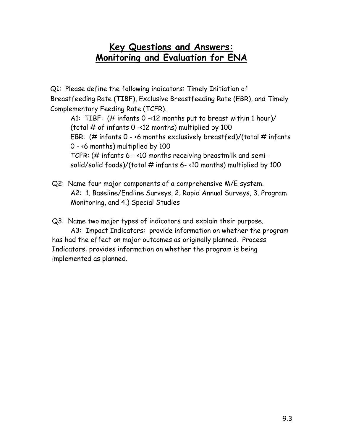## **Key Questions and Answers: Monitoring and Evaluation for ENA**

Q1: Please define the following indicators: Timely Initiation of Breastfeeding Rate (TIBF), Exclusive Breastfeeding Rate (EBR), and Timely Complementary Feeding Rate (TCFR).

A1: TIBF: (# infants 0 -<12 months put to breast within 1 hour)/ (total  $#$  of infants 0 -<12 months) multiplied by 100 EBR: (# infants  $0 - 6$  months exclusively breastfed)/(total # infants 0 - <6 months) multiplied by 100 TCFR: (# infants 6 - <10 months receiving breastmilk and semisolid/solid foods)/(total  $#$  infants 6-<10 months) multiplied by 100

Q2: Name four major components of a comprehensive M/E system. A2: 1. Baseline/Endline Surveys, 2. Rapid Annual Surveys, 3. Program Monitoring, and 4.) Special Studies

Q3: Name two major types of indicators and explain their purpose.

A3: Impact Indicators: provide information on whether the program has had the effect on major outcomes as originally planned. Process Indicators: provides information on whether the program is being implemented as planned.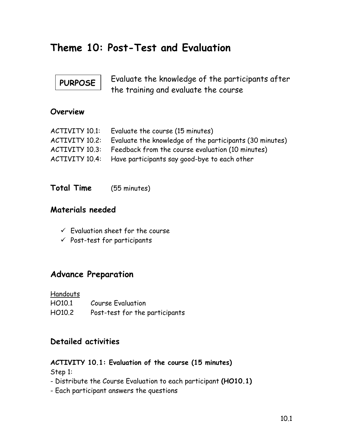# **Theme 10: Post-Test and Evaluation**

# **PURPOSE**

Evaluate the knowledge of the participants after the training and evaluate the course

### **Overview**

| ACTIVITY 10.1: | Evaluate the course (15 minutes)                            |
|----------------|-------------------------------------------------------------|
| ACTIVITY 10.2: | Evaluate the knowledge of the participants (30 minutes)     |
| ACTIVITY 10.3: | Feedback from the course evaluation (10 minutes)            |
|                | ACTIVITY 10.4: Have participants say good-bye to each other |

**Total Time** (55 minutes)

### **Materials needed**

- $\checkmark$  Evaluation sheet for the course
- $\checkmark$  Post-test for participants

### **Advance Preparation**

**Handouts** 

| HO10.1 | <b>Course Evaluation</b>       |
|--------|--------------------------------|
| HO10.2 | Post-test for the participants |

### **Detailed activities**

### **ACTIVITY 10.1: Evaluation of the course (15 minutes)**

Step 1:

- Distribute the Course Evaluation to each participant **(HO10.1)**
- Each participant answers the questions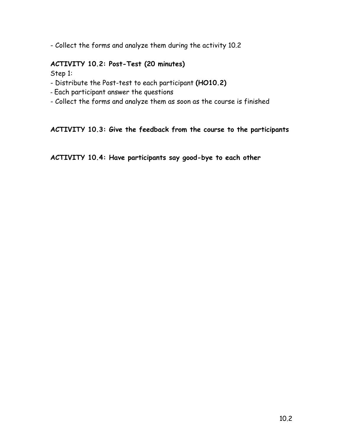- Collect the forms and analyze them during the activity 10.2

### **ACTIVITY 10.2: Post-Test (20 minutes)**

Step 1:

- Distribute the Post-test to each participant **(HO10.2)**
- Each participant answer the questions
- Collect the forms and analyze them as soon as the course is finished

#### **ACTIVITY 10.3: Give the feedback from the course to the participants**

**ACTIVITY 10.4: Have participants say good-bye to each other**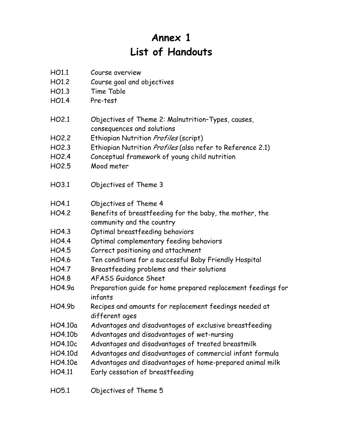# **Annex 1 List of Handouts**

- HO1.1 Course overview
- HO1.2 Course goal and objectives
- HO1.3 Time Table
- HO1.4 Pre-test
- HO2.1 Objectives of Theme 2: Malnutrition–Types, causes, consequences and solutions
- HO2.2 Ethiopian Nutrition *Profiles* (script)
- HO2.3 Ethiopian Nutrition *Profiles* (also refer to Reference 2.1)
- HO2.4 Conceptual framework of young child nutrition
- HO2.5 Mood meter
- HO3.1 Objectives of Theme 3
- HO4.1 Objectives of Theme 4
- HO4.2 Benefits of breastfeeding for the baby, the mother, the community and the country
- HO4.3 Optimal breastfeeding behaviors
- HO4.4 Optimal complementary feeding behaviors
- HO4.5 Correct positioning and attachment
- HO4.6 Ten conditions for a successful Baby Friendly Hospital
- HO4.7 Breastfeeding problems and their solutions
- HO4.8 AFASS Guidance Sheet
- HO4.9a Preparation guide for home prepared replacement feedings for infants
- HO4.9b Recipes and amounts for replacement feedings needed at different ages
- HO4.10a Advantages and disadvantages of exclusive breastfeeding
- HO4.10b Advantages and disadvantages of wet-nursing
- HO4.10c Advantages and disadvantages of treated breastmilk
- HO4.10d Advantages and disadvantages of commercial infant formula
- HO4.10e Advantages and disadvantages of home-prepared animal milk
- HO4.11 Early cessation of breastfeeding
- HO5.1 Objectives of Theme 5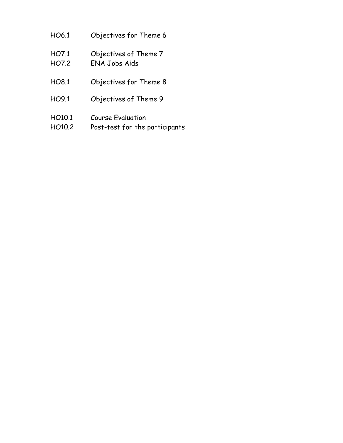- HO6.1 Objectives for Theme 6
- HO7.1 Objectives of Theme 7
- HO7.2 ENA Jobs Aids
- HO8.1 Objectives for Theme 8
- HO9.1 Objectives of Theme 9
- HO10.1 Course Evaluation
- HO10.2 Post-test for the participants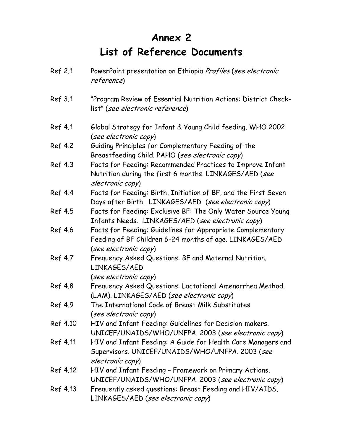# **Annex 2 List of Reference Documents**

| Ref 2.1  | PowerPoint presentation on Ethiopia Profiles (see electronic<br>reference)                                                                      |
|----------|-------------------------------------------------------------------------------------------------------------------------------------------------|
| Ref 3.1  | "Program Review of Essential Nutrition Actions: District Check-<br>list" (see electronic reference)                                             |
| Ref 4.1  | Global Strategy for Infant & Young Child feeding. WHO 2002<br>(see electronic copy)                                                             |
| Ref 4.2  | Guiding Principles for Complementary Feeding of the<br>Breastfeeding Child. PAHO (see electronic copy)                                          |
| Ref 4.3  | Facts for Feeding: Recommended Practices to Improve Infant<br>Nutrition during the first 6 months. LINKAGES/AED (see<br>electronic copy)        |
| Ref 4.4  | Facts for Feeding: Birth, Initiation of BF, and the First Seven<br>Days after Birth. LINKAGES/AED (see electronic copy)                         |
| Ref 4.5  | Facts for Feeding: Exclusive BF: The Only Water Source Young<br>Infants Needs. LINKAGES/AED (see electronic copy)                               |
| Ref 4.6  | Facts for Feeding: Guidelines for Appropriate Complementary<br>Feeding of BF Children 6-24 months of age. LINKAGES/AED<br>(see electronic copy) |
| Ref 4.7  | Frequency Asked Questions: BF and Maternal Nutrition.<br>LINKAGES/AED<br>(see electronic copy)                                                  |
| Ref 4.8  | Frequency Asked Questions: Lactational Amenorrhea Method.<br>(LAM). LINKAGES/AED (see electronic copy)                                          |
| Ref 4.9  | The International Code of Breast Milk Substitutes<br>(see electronic copy)                                                                      |
| Ref 4.10 | HIV and Infant Feeding: Guidelines for Decision-makers.<br>UNICEF/UNAIDS/WHO/UNFPA. 2003 (see electronic copy)                                  |
| Ref 4.11 | HIV and Infant Feeding: A Guide for Health Care Managers and<br>Supervisors. UNICEF/UNAIDS/WHO/UNFPA. 2003 (see<br>electronic copy)             |
| Ref 4.12 | HIV and Infant Feeding - Framework on Primary Actions.<br>UNICEF/UNAIDS/WHO/UNFPA. 2003 (see electronic copy)                                   |
| Ref 4.13 | Frequently asked questions: Breast Feeding and HIV/AIDS.<br>LINKAGES/AED (see electronic copy)                                                  |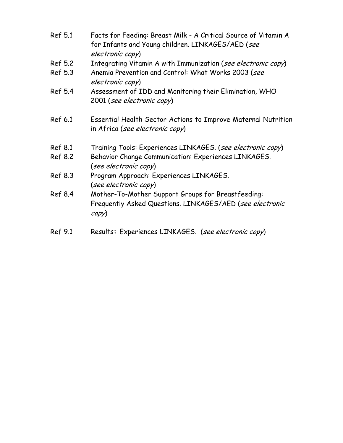| Ref 5.1 | Facts for Feeding: Breast Milk - A Critical Source of Vitamin A<br>for Infants and Young children. LINKAGES/AED (see<br>electronic copy)          |
|---------|---------------------------------------------------------------------------------------------------------------------------------------------------|
| Ref 5.2 | Integrating Vitamin A with Immunization (see electronic copy)                                                                                     |
| Ref 5.3 | Anemia Prevention and Control: What Works 2003 (see<br>electronic copy)                                                                           |
| Ref 5.4 | Assessment of IDD and Monitoring their Elimination, WHO<br>2001 (see electronic copy)                                                             |
| Ref 6.1 | Essential Health Sector Actions to Improve Maternal Nutrition<br>in Africa (see electronic copy)                                                  |
| Ref 8.1 | Training Tools: Experiences LINKAGES. (see electronic copy)                                                                                       |
| Ref 8.2 | Behavior Change Communication: Experiences LINKAGES.<br>(see electronic copy)                                                                     |
| Ref 8.3 | Program Approach: Experiences LINKAGES.<br>(see electronic copy)                                                                                  |
| Ref 8.4 | Mother-To-Mother Support Groups for Breastfeeding:<br>Frequently Asked Questions. LINKAGES/AED (see electronic<br>$\langle \textit{copy} \rangle$ |
| Ref 9.1 | Results: Experiences LINKAGES. (see electronic copy)                                                                                              |